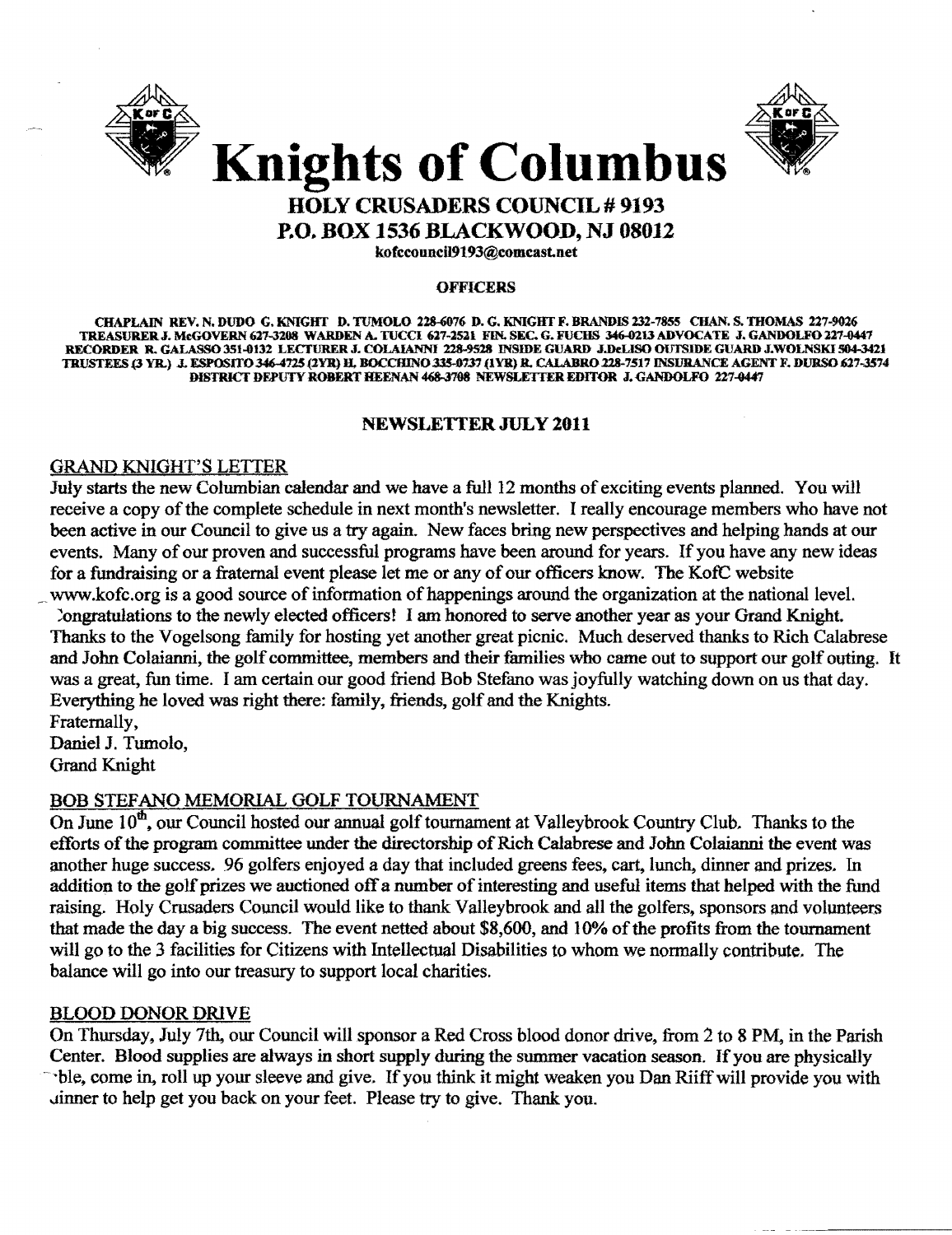



## HOLY CRUSADERS COUNCIL # 9193 P.O. BOX 1536 BLACKWOOD, NJ 08012

kofccounciJ9193@Comcast.net

#### **OFFICERS**

CHAPLAIN REV. N. DUDO G. KNIGHT D. TUMOLO 228-6076 D. G. KNIGHT F. BRANDIS 232-7855 CHAN. S. THOMAS 227-9026 TREASURER J. MeGOVERN 627-3208 WARDEN A. TUCCI 627-2521 FIN. SEC. G. FUCHS 346-0213 ADVOCATE J. GANDOLFO 227-0447 RECORDER R. GALASSO 351-0132 LECTURER J. COLAIANNI 228-9528 INSIDE GUARD J.DeLISO OUTSIDE GUARD J.WOLNSKI 504-3421 TRUSTEES (3 YR.) J. ESPOSITO 346-4725 (2YR) H. BOCCHINO 335-0737 (1YR) R. CALABRO 228-7517 INSURANCE AGENT F. DURSO 627-3574 DISTRICT DEPUTY ROBERT HEENAN 468-3708 NEWSLETTER EDITOR J. GANDOLFO 227-0447

#### NEWSLEITER JULY 2011

#### GRAND KNIGHT'S LETTER

July starts the new Columbian calendar and we have a full 12 months of exciting events planned. You will receive a copy of the complete schedule in next month's newsletter. I really encourage members who have not been active in our Council to give us a try again. New faces bring new perspectives and helping hands at our events. Many of our proven and successful programs have been around for years. If you have any new ideas for a fundraising or a fraternal event please let me or any of our officers know. The KofC website www.kofc.org is a good source of information of happenings around the organization at the national level.

~ongratulations to the newly elected officerst I am honored to serve another year as your Grand Knight. Thanks to the Vogelsong family for hosting yet another great picnic. Much deserved thanks to Rich Calabrese and John Colaianni, the golf committee, members and their families who came out to support our golf outing. It was a great, fun time. I am certain our good friend Bob Stefano was joyfully watching down on us that day. Everything he loved was right there: family, friends, golf and the Knights. Fraternally.

Daniel J. Tumolo, Grand Knight

### BOB STEFANO MEMORIAL GOLF TOURNAMENT

On June 10<sup>th</sup>, our Council hosted our annual golf tournament at Valleybrook Country Club. Thanks to the efforts of the program committee under the directorship of Rich Calabrese and John Colaianni the event was another huge success. 96 golfers enjoyed a day that included greens fees. cart. lunch, dinner and prizes. In addition to the golf prizes we auctioned off a number of interesting and useful items that helped with the fund raising. Holy Crusaders Council would like to thank Valleybrook and all the golfers, sponsors and volunteers that made the day a big success. The event netted about \$8,600, and 10% of the profits from the tournament will go to the 3 facilities for Citizens with Intellectual Disabilities to whom we normally contribute. The balance will go into our treasury to support local charities.

#### BLOOD DONOR DRIVE

On Thursday. July 7th, our Council will sponsor a Red Cross blood donor drive. from 2 to 8 PM, in the Parish Center. Blood supplies are always in short supply during the summer vacation season. If you are physically ~ble, come in, roll up your sleeve and give. If you think it might weaken you Dan Riiff will provide you with ..tinner to help get you back on your feet. Please try to give. Thank you.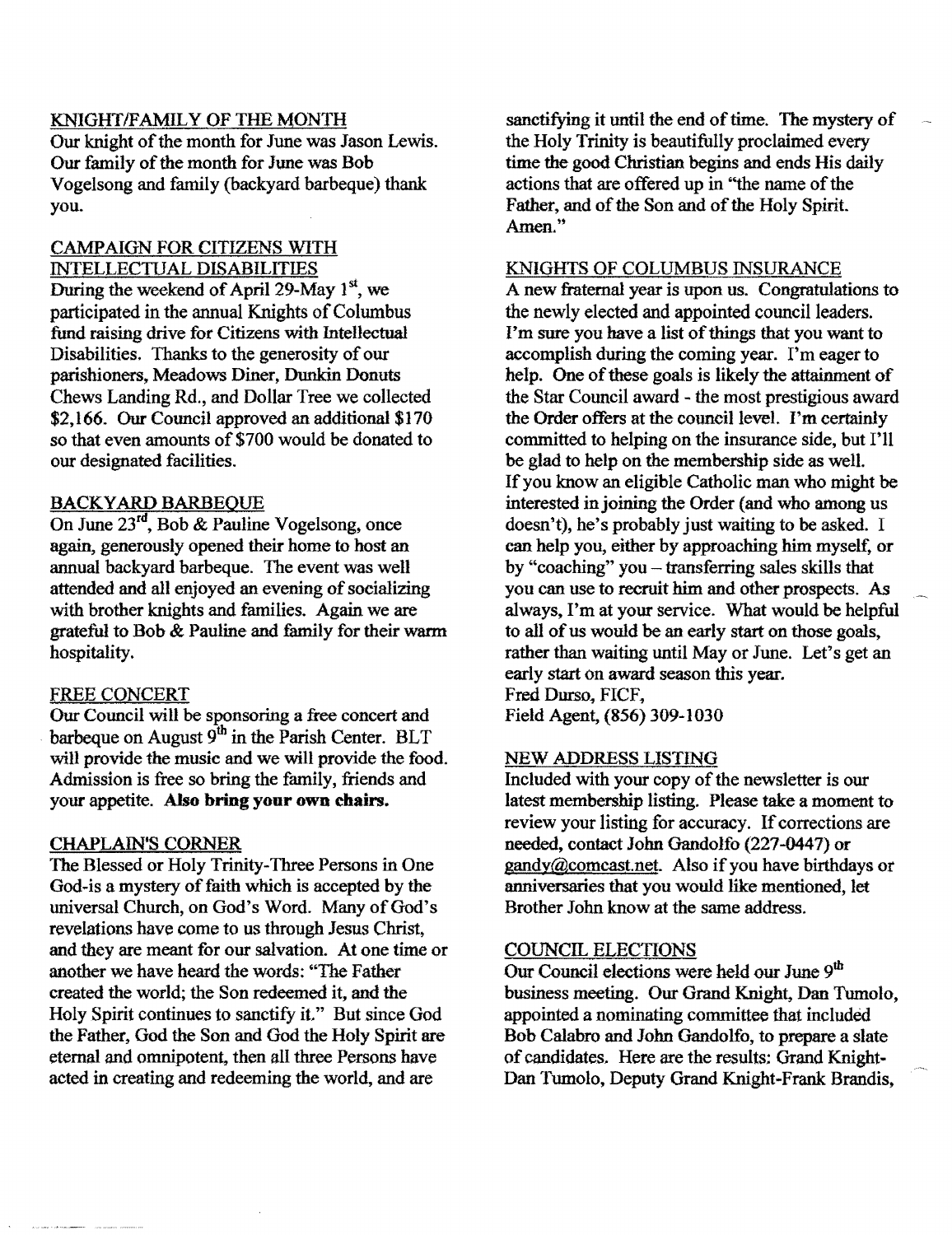#### KNIGHT/FAMILY OF THE MONTH

Our knight of the month for June was Jason Lewis. Our family of the month for June was Bob Vogelsong and family (backyard barbeque) thank you.

### CAMPAIGN FOR CITIZENS WITH INTELLECTUAL DISABILITIES

During the weekend of April 29-May  $1<sup>st</sup>$ , we participated in the annual Knights of Columbus fund raising drive for Citizens with Intellectual Disabilities. Thanks to the generosity of our parishioners, Meadows Diner, Dunkin Donuts Chews Landing Rd., and Dollar Tree we collected \$2,166. Our Council approved an additional \$170 so that even amounts of \$700 would be donated to our designated facilities.

#### **BACKYARD BARBEQUE**

On June *23cd,* Bob & Pauline Vogelsong, once again, generously opened their home to host an annual backyard barbeque. The event was well attended and all enjoyed an evening of socializing with brother knights and families. Again we are grateful to Bob & Pauline and family for their warm hospitality.

#### FREE CONCERT

Our Council will be sponsoring a free concert and barbeque on August  $9<sup>th</sup>$  in the Parish Center. BLT will provide the music and we will provide the food. Admission is free so bring the family, friends and your appetite. Also bring your own chairs.

#### CHAPLAIN'S CORNER

The Blessed or Holy Trinity-Three Persons in One God-is a mystery of faith which is accepted by the universal Church, on God's Word. Many of God's revelations have come to us through Jesus Christ, and they are meant for our salvation. At one time or another we have heard the words: "The Father created the world; the Son redeemed it, and the Holy Spirit continues to sanctify it." But since God the Father, God the Son and God the Holy Spirit are eternal and omnipotent, then all three Persons have acted in creating and redeeming the world, and are

sanctifying it until the end of time. The mystery of the Holy Trinity is beautifully proclaimed every time the good Christian begins and ends His daily actions that are offered up in "the name of the Father, and of the Son and of the Holy Spirit. Amen."

#### KNIGHTS OF COLUMBUS INSURANCE

A new fraternal year is upon us. Congratulations to the newly elected and appointed council leaders. I'm sure you have a list of things that you want to accomplish during the coming year. I'm eager to help. One of these goals is likely the attainment of the Star Council award - the most prestigious award the Order offers at the council level. I'm certainly committed to helping on the insurance side, but I'll be glad to help on the membership side as well. Ifyou know an eligible Catholic man who might be interested in joining the Order (and who among us doesn't), he's probably just waiting to be asked. I can help you, either by approaching him myself, or by "coaching" you - transferring sales skills that you can use to recruit him and other prospects. As always, I'm at your service. What would be helpful to all of us would be an early start on those goals, rather than waiting until Mayor June. Let's get an early start on award season this year. Fred Durso, FICF, Field Agent, (856) 309-1030

#### NEW ADDRESS LISTING

Included with your copy of the newsletter is our latest membership listing. Please take a moment to review your listing for accuracy. If corrections are needed, contact John Gandolfo (227-0447) or  $\text{gandy}(\partial \text{connect}.\text{A}$ lso if you have birthdays or anniversaries that you would like mentioned, let Brother John know at the same address.

#### COUNCIL ELECTIONS

Our Council elections were held our June 9<sup>th</sup> business meeting. Our Grand Knight, Dan Tumolo, appointed a nominating committee that included Bob Calabro and John Gandolfo, to prepare a slate of candidates. Here are the results: Grand Knight-Dan Tumolo, Deputy Grand Knight-Frank Brandis,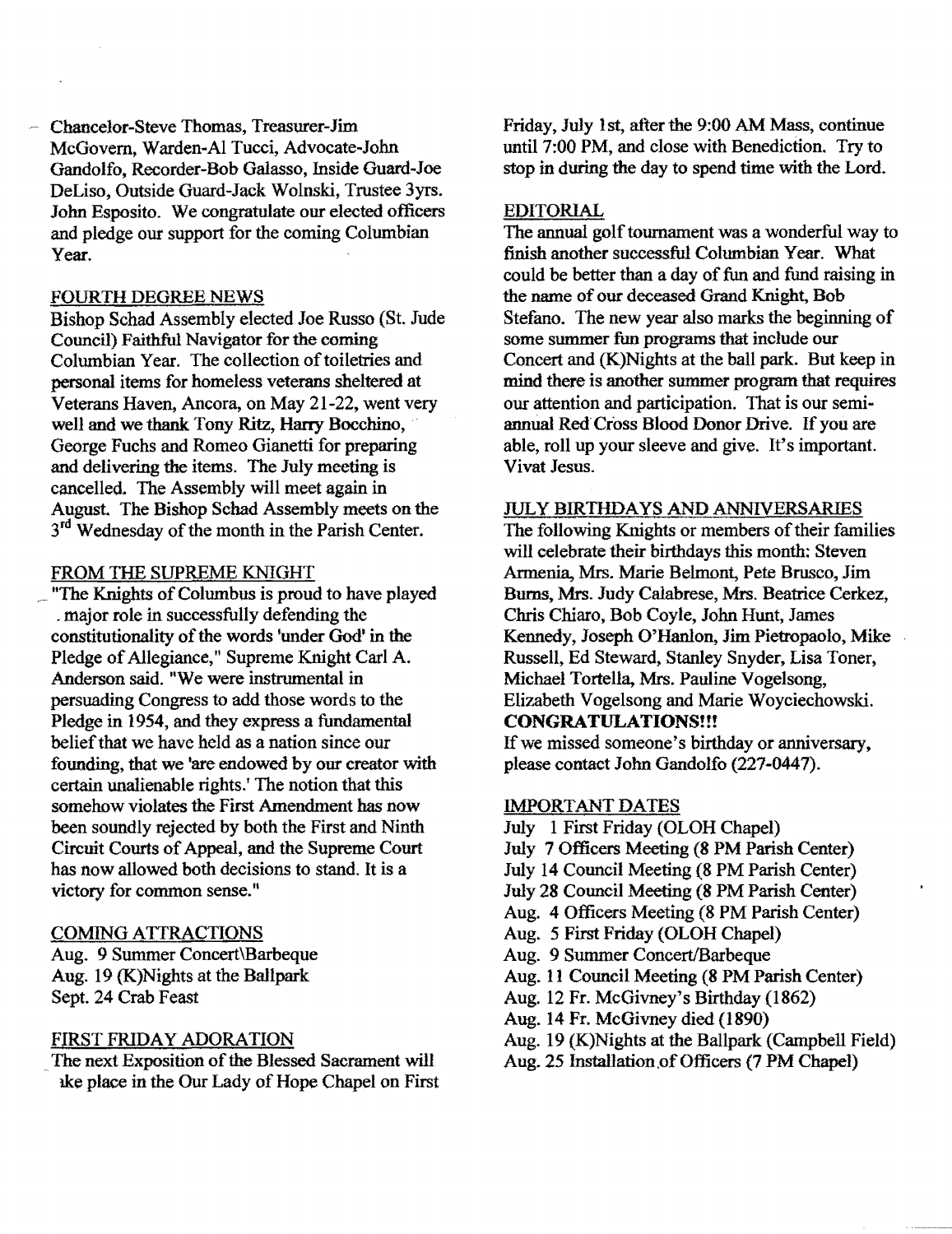Chancelor-Steve Thomas, Treasurer-Jim McGovern, Warden-AI Tucci, Advocate-John Gandolfo, Recorder-Bob Galasso, Inside Guard-Joe DeLiso, Outside Guard-Jack Wolnski, Trustee 3yrs. John Esposito. We congratulate our elected officers and pledge our support for the coming Columbian Year.

#### FOURTH DEGREE NEWS

Bishop Schad Assembly elected Joe Russo (St. Jude Council) Faithful Navigator for the coming Columbian Year. The collection of toiletries and personal items for homeless veterans sheltered at Veterans Haven, Ancora, on May 21-22, went very well and we thank. Tony Ritz, Harry Bocchino, George Fuchs and Romeo Gianetti for preparing and delivering the items. The July meeting is cancelled. The Assembly will meet again in August. The Bishop Schad Assembly meets on the 3<sup>rd</sup> Wednesday of the month in the Parish Center.

#### FROM THE SUPREME KNIGHT

\_' nThe Knights ofColumbus is proud to have played . major role in successfully defending the constitutionality of the words 'under God' in the Pledge of Allegiance," Supreme Knight Carl A. Anderson said. "We were instrumental in persuading Congress to add those words to the Pledge in 1954, and they express a fundamental belief that we have held as a nation since our founding, that we 'are endowed by our creator with certain unalienable rights: The notion that this somehow violates the First Amendment has now been soundly rejected by both the First and Ninth Circuit Courts of Appeal, and the Supreme Court has now allowed both decisions to stand. It is a victory for common sense."

#### COMING ATTRACTIONS

Aug. 9 Summer Concert\Barbeque Aug. 19 (K)Nights at the Ballpark Sept. 24 Crab Feast

#### FIRST FRIDAY ADORATION

The next Exposition of the Blessed Sacrament will ake place in the Our Lady of Hope Chapel on First Friday, July 1st, after the 9:00 AM Mass, continue until 7:00 PM, and close with Benediction. Try to stop in during the day to spend time with the Lord.

#### EDITORIAL

The annual golf tournament was a wonderful way to finish another successful Columbian Year. What could be better than a day of fun and fund raising in the name of our deceased Grand Knight, Bob Stefano. The new year also marks the beginning of some summer fun programs that include our Concert and (K)Nights at the ball park. But keep in mind there is another summer program that requires our attention and participation. That is our semi annual Red Cross Blood Donor Drive. If you are able, roll up your sleeve and give. It's important. Vivat Jesus.

#### JULY BIRTHDAYS AND ANNIVERSARIES

The following Knights or members of their families will celebrate their birthdays this month: Steven Armenia, Mrs. Marie Belmont, Pete Brusco, Jim Burns, Mrs. Judy Calabrese, Mrs. Beatrice Cerkez, Chris Chiaro, Bob Coyle, John Hunt, James Kennedy, Joseph O'Hanlon, Jim Pietropaolo, Mike Russell, Ed Steward, Stanley Snyder, Lisa Toner, Michael Tortella, Mrs. Pauline Vogelsong, Elizabeth Vogelsong and Marie Woyciechowski. CONGRATULATIONS!!!

If we missed someone's birthday or anniversary, please contact John Gandolfo (227-0447).

#### IMPORTANT DATES

- July 1 First Friday (OLOH Chapel)
- July 7 Officers Meeting (8 PM Parish Center)
- July 14 Council Meeting (8 PM Parish Center)
- July 28 Council Meeting (8 PM Parish Center)
- Aug. 4 Officers Meeting (8 PM Parish Center)
- Aug. 5 First Friday (OLOH Chapel)
- Aug. 9 Summer Concert/Barbeque
- Aug. 11 Council Meeting (8 PM Parish Center)
- Aug. 12 Fr. McGivney's Birthday (1862)
- Aug. 14 Fr. McGivney died (1890)
- Aug. 19 (K)Nights at the Ballpark (Campbell Field)
- Aug. 25 Installation of Officers (7 PM Chapel)